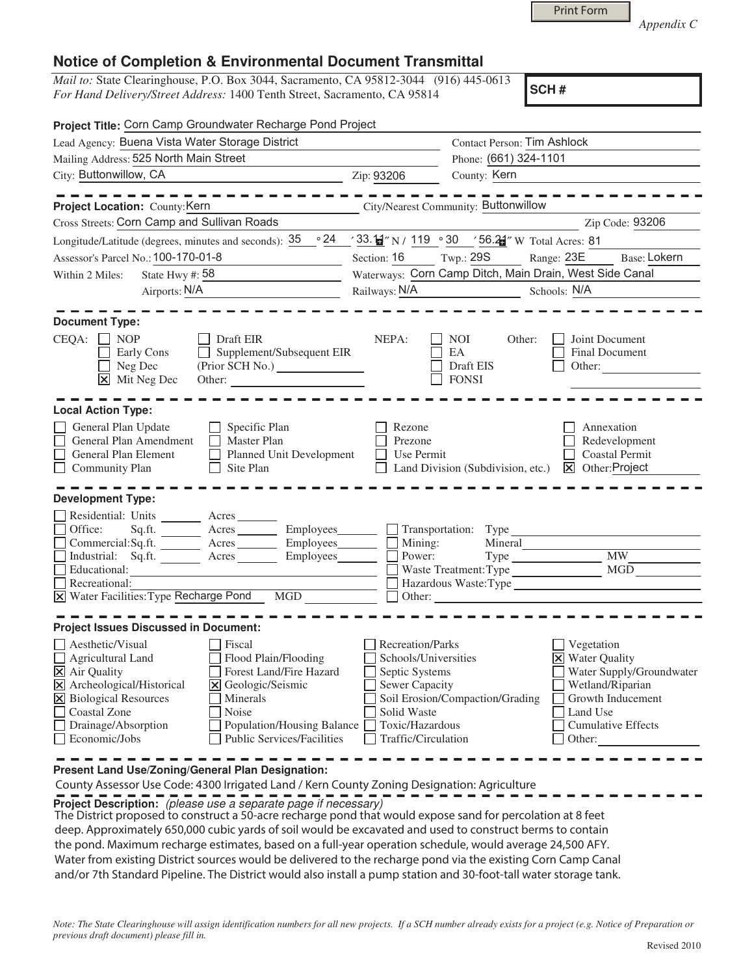Print Form

*Appendix C* 

## **Notice of Completion & Environmental Document Transmittal**

*Mail to:* State Clearinghouse, P.O. Box 3044, Sacramento, CA 95812-3044 (916) 445-0613 *For Hand Delivery/Street Address:* 1400 Tenth Street, Sacramento, CA 95814

**SCH #**

| Project Title: Corn Camp Groundwater Recharge Pond Project                                                                                                                                                                                                                                                                                                      |                                                                                                                                              |                                                                                        |                                                                                                                                                              |  |
|-----------------------------------------------------------------------------------------------------------------------------------------------------------------------------------------------------------------------------------------------------------------------------------------------------------------------------------------------------------------|----------------------------------------------------------------------------------------------------------------------------------------------|----------------------------------------------------------------------------------------|--------------------------------------------------------------------------------------------------------------------------------------------------------------|--|
| Lead Agency: Buena Vista Water Storage District                                                                                                                                                                                                                                                                                                                 | <b>Contact Person: Tim Ashlock</b>                                                                                                           |                                                                                        |                                                                                                                                                              |  |
| Mailing Address: 525 North Main Street                                                                                                                                                                                                                                                                                                                          | Phone: (661) 324-1101                                                                                                                        |                                                                                        |                                                                                                                                                              |  |
| City: Buttonwillow, CA                                                                                                                                                                                                                                                                                                                                          | Zip: 93206                                                                                                                                   | County: Kern                                                                           |                                                                                                                                                              |  |
|                                                                                                                                                                                                                                                                                                                                                                 |                                                                                                                                              |                                                                                        |                                                                                                                                                              |  |
| Project Location: County: Kern                                                                                                                                                                                                                                                                                                                                  |                                                                                                                                              | City/Nearest Community: Buttonwillow                                                   |                                                                                                                                                              |  |
| Cross Streets: Corn Camp and Sullivan Roads                                                                                                                                                                                                                                                                                                                     |                                                                                                                                              |                                                                                        | Zip Code: 93206                                                                                                                                              |  |
| Longitude/Latitude (degrees, minutes and seconds): $35 \cdot 24$                                                                                                                                                                                                                                                                                                |                                                                                                                                              | $\frac{1}{2}$ 33. <del>[</del> $\frac{1}{2}$ ″ N / 119 ° 30 ′ 56.21″ W Total Acres: 81 |                                                                                                                                                              |  |
| Assessor's Parcel No.: 100-170-01-8                                                                                                                                                                                                                                                                                                                             | Section: 16                                                                                                                                  | Twp.: 29S<br>Range: 23E                                                                | Base: Lokern                                                                                                                                                 |  |
| State Hwy #: 58<br>Within 2 Miles:<br><u> 1990 - Jan Barbara Barbara, política establecente de la provincia de la provincia de la provincia de la provi</u>                                                                                                                                                                                                     | Waterways: Corn Camp Ditch, Main Drain, West Side Canal                                                                                      |                                                                                        |                                                                                                                                                              |  |
| Airports: N/A                                                                                                                                                                                                                                                                                                                                                   | Railways: N/A Schools: N/A                                                                                                                   |                                                                                        |                                                                                                                                                              |  |
| <b>Document Type:</b><br>CEQA: [<br><b>NOP</b><br>Draft EIR<br>Supplement/Subsequent EIR<br>$\Box$<br>Early Cons<br>Neg Dec<br>Mit Neg Dec<br>Other:<br>l×l                                                                                                                                                                                                     | NEPA:                                                                                                                                        | <b>NOI</b><br>Other:<br>EA<br>Draft EIS<br><b>FONSI</b>                                | Joint Document<br>Final Document<br>Other:                                                                                                                   |  |
| <b>Local Action Type:</b><br>General Plan Update<br>Specific Plan<br>General Plan Amendment<br>Master Plan<br>$\Box$<br>Planned Unit Development<br>General Plan Element<br>Community Plan<br>Site Plan                                                                                                                                                         | Rezone<br>Prezone<br>Use Permit                                                                                                              | Land Division (Subdivision, etc.)                                                      | Annexation<br>Redevelopment<br><b>Coastal Permit</b><br>$\boxed{\mathsf{X}}$ Other: Project                                                                  |  |
| <b>Development Type:</b>                                                                                                                                                                                                                                                                                                                                        |                                                                                                                                              |                                                                                        |                                                                                                                                                              |  |
| Residential: Units ________ Acres _______<br>Office:<br>Sq.ft. _________ Acres __________ Employees________<br>Commercial:Sq.ft. Acres Employees<br>Industrial: Sq.ft. Acres<br>Employees________<br>Educational:<br>Recreational:<br>X Water Facilities: Type Recharge Pond MGD                                                                                | Power:                                                                                                                                       | Mining:<br>Mineral<br>Waste Treatment: Type<br>Hazardous Waste:Type <sup>-</sup>       | MW<br>MGD                                                                                                                                                    |  |
| <b>Project Issues Discussed in Document:</b>                                                                                                                                                                                                                                                                                                                    |                                                                                                                                              |                                                                                        |                                                                                                                                                              |  |
| $\Box$ Aesthetic/Visual<br>Fiscal<br>Agricultural Land<br>Flood Plain/Flooding<br>Forest Land/Fire Hazard<br>X Air Quality<br>X Archeological/Historical<br>X Geologic/Seismic<br>X Biological Resources<br>Minerals<br><b>Coastal Zone</b><br>Noise<br>Drainage/Absorption<br>Population/Housing Balance<br><b>Public Services/Facilities</b><br>Economic/Jobs | Recreation/Parks<br>Schools/Universities<br>Septic Systems<br><b>Sewer Capacity</b><br>Solid Waste<br>Toxic/Hazardous<br>Traffic/Circulation | Soil Erosion/Compaction/Grading                                                        | Vegetation<br><b>X</b> Water Quality<br>Water Supply/Groundwater<br>Wetland/Riparian<br>Growth Inducement<br>Land Use<br><b>Cumulative Effects</b><br>Other: |  |

**Present Land Use/Zoning/General Plan Designation:**

County Assessor Use Code: 4300 Irrigated Land / Kern County Zoning Designation: Agriculture

**Project Description:** (please use a separate page if necessary)

 The District proposed to construct a 50-acre recharge pond that would expose sand for percolation at 8 feet deep. Approximately 650,000 cubic yards of soil would be excavated and used to construct berms to contain the pond. Maximum recharge estimates, based on a full-year operation schedule, would average 24,500 AFY. Water from existing District sources would be delivered to the recharge pond via the existing Corn Camp Canal and/or 7th Standard Pipeline. The District would also install a pump station and 30-foot-tall water storage tank.

*Note: The State Clearinghouse will assign identification numbers for all new projects. If a SCH number already exists for a project (e.g. Notice of Preparation or previous draft document) please fill in.*